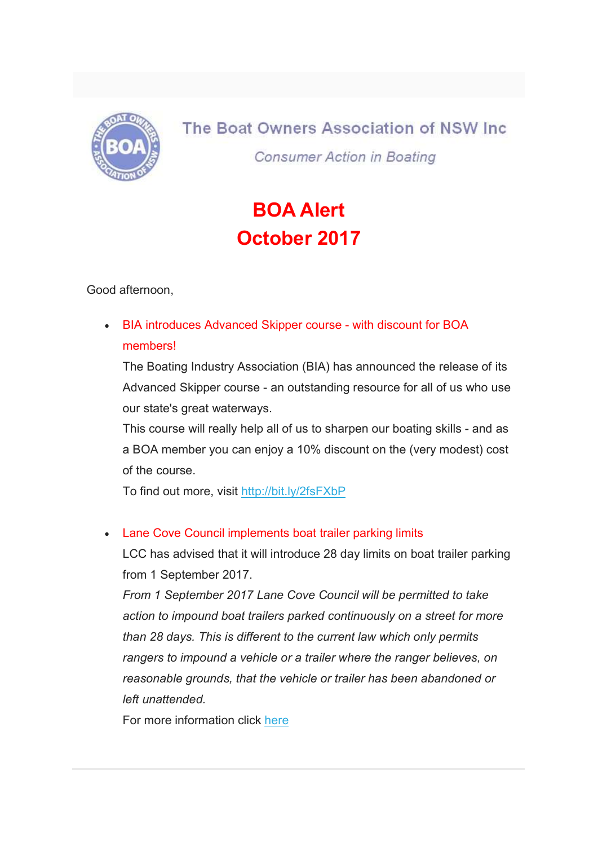

The Boat Owners Association of NSW Inc. **Consumer Action in Boating** 

## BOA Alert October 2017

Good afternoon,

 BIA introduces Advanced Skipper course - with discount for BOA members!

The Boating Industry Association (BIA) has announced the release of its Advanced Skipper course - an outstanding resource for all of us who use our state's great waterways.

This course will really help all of us to sharpen our boating skills - and as a BOA member you can enjoy a 10% discount on the (very modest) cost of the course.

To find out more, visit http://bit.ly/2fsFXbP

## Lane Cove Council implements boat trailer parking limits

LCC has advised that it will introduce 28 day limits on boat trailer parking from 1 September 2017.

From 1 September 2017 Lane Cove Council will be permitted to take action to impound boat trailers parked continuously on a street for more than 28 days. This is different to the current law which only permits rangers to impound a vehicle or a trailer where the ranger believes, on reasonable grounds, that the vehicle or trailer has been abandoned or left unattended.

For more information click here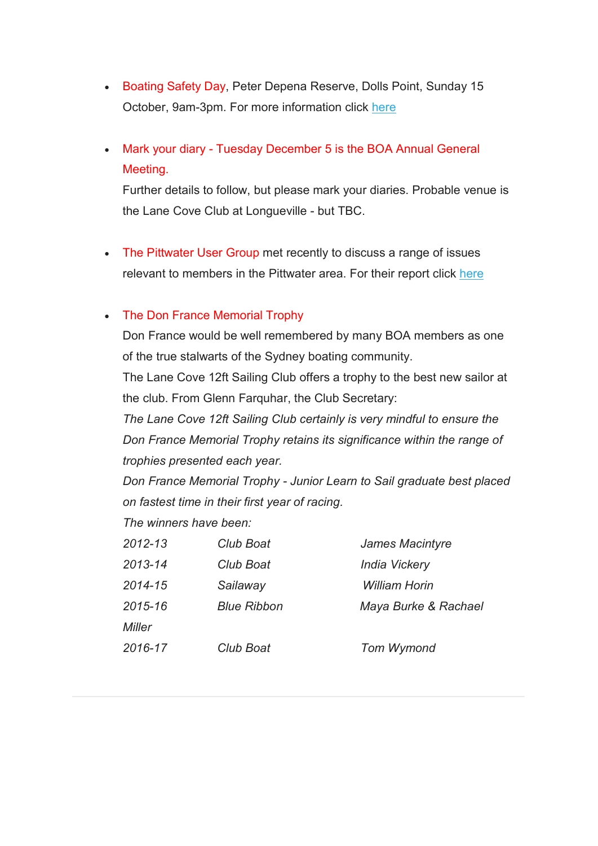- Boating Safety Day, Peter Depena Reserve, Dolls Point, Sunday 15 October, 9am-3pm. For more information click here
- Mark your diary Tuesday December 5 is the BOA Annual General Meeting.

Further details to follow, but please mark your diaries. Probable venue is the Lane Cove Club at Longueville - but TBC.

• The Pittwater User Group met recently to discuss a range of issues relevant to members in the Pittwater area. For their report click here

## • The Don France Memorial Trophy

Don France would be well remembered by many BOA members as one of the true stalwarts of the Sydney boating community.

The Lane Cove 12ft Sailing Club offers a trophy to the best new sailor at the club. From Glenn Farquhar, the Club Secretary:

The Lane Cove 12ft Sailing Club certainly is very mindful to ensure the Don France Memorial Trophy retains its significance within the range of trophies presented each year.

Don France Memorial Trophy - Junior Learn to Sail graduate best placed on fastest time in their first year of racing.

The winners have been:

| 2012-13 | Club Boat          | James Macintyre      |
|---------|--------------------|----------------------|
| 2013-14 | Club Boat          | <b>India Vickery</b> |
| 2014-15 | Sailaway           | <b>William Horin</b> |
| 2015-16 | <b>Blue Ribbon</b> | Maya Burke & Rachael |
| Miller  |                    |                      |
| 2016-17 | Club Boat          | <b>Tom Wymond</b>    |